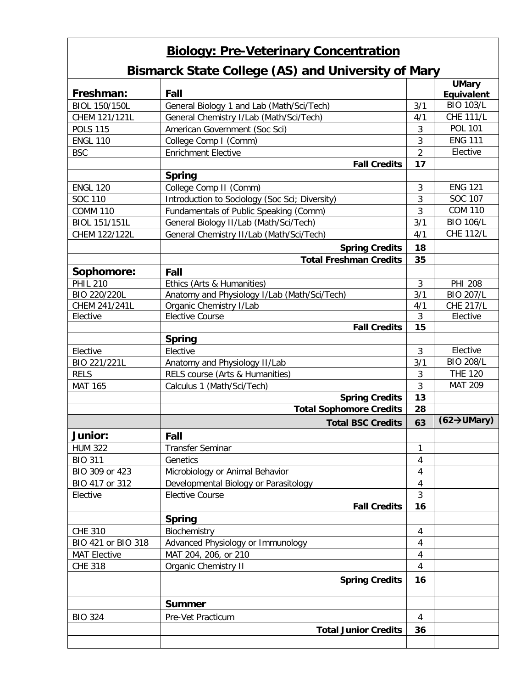| <b>Biology: Pre-Veterinary Concentration</b><br><b>Bismarck State College (AS) and University of Mary</b> |                                                |                |                                 |  |  |  |
|-----------------------------------------------------------------------------------------------------------|------------------------------------------------|----------------|---------------------------------|--|--|--|
| Freshman:                                                                                                 | Fall                                           |                | <b>UMary</b><br>Equivalent      |  |  |  |
| <b>BIOL 150/150L</b>                                                                                      | General Biology 1 and Lab (Math/Sci/Tech)      | 3/1            | <b>BIO 103/L</b>                |  |  |  |
| CHEM 121/121L                                                                                             | General Chemistry I/Lab (Math/Sci/Tech)        | 4/1            | <b>CHE 111/L</b>                |  |  |  |
| <b>POLS 115</b>                                                                                           | American Government (Soc Sci)                  | 3              | <b>POL 101</b>                  |  |  |  |
| <b>ENGL 110</b>                                                                                           | College Comp I (Comm)                          | 3              | <b>ENG 111</b>                  |  |  |  |
| <b>BSC</b>                                                                                                | <b>Enrichment Elective</b>                     | $\overline{2}$ | Elective                        |  |  |  |
|                                                                                                           | <b>Fall Credits</b>                            | 17             |                                 |  |  |  |
|                                                                                                           | <b>Spring</b>                                  |                |                                 |  |  |  |
| <b>ENGL 120</b>                                                                                           | College Comp II (Comm)                         | 3              | <b>ENG 121</b>                  |  |  |  |
| SOC 110                                                                                                   | Introduction to Sociology (Soc Sci; Diversity) | 3              | SOC 107                         |  |  |  |
| <b>COMM 110</b>                                                                                           | Fundamentals of Public Speaking (Comm)         | 3              | <b>COM 110</b>                  |  |  |  |
| BIOL 151/151L                                                                                             | General Biology II/Lab (Math/Sci/Tech)         | 3/1            | <b>BIO 106/L</b>                |  |  |  |
| CHEM 122/122L                                                                                             | General Chemistry II/Lab (Math/Sci/Tech)       | 4/1            | <b>CHE 112/L</b>                |  |  |  |
|                                                                                                           | <b>Spring Credits</b>                          | 18             |                                 |  |  |  |
|                                                                                                           | <b>Total Freshman Credits</b>                  | 35             |                                 |  |  |  |
| Sophomore:                                                                                                | Fall                                           |                |                                 |  |  |  |
| <b>PHIL 210</b>                                                                                           | Ethics (Arts & Humanities)                     | 3              | <b>PHI 208</b>                  |  |  |  |
| BIO 220/220L                                                                                              | Anatomy and Physiology I/Lab (Math/Sci/Tech)   | 3/1            | <b>BIO 207/L</b>                |  |  |  |
| CHEM 241/241L                                                                                             | Organic Chemistry I/Lab                        | 4/1            | <b>CHE 217/L</b>                |  |  |  |
| Elective                                                                                                  | <b>Elective Course</b>                         | 3              | Elective                        |  |  |  |
|                                                                                                           | <b>Fall Credits</b>                            | 15             |                                 |  |  |  |
|                                                                                                           | <b>Spring</b>                                  |                |                                 |  |  |  |
| Elective                                                                                                  | Elective                                       | 3              | Elective                        |  |  |  |
| BIO 221/221L                                                                                              | Anatomy and Physiology II/Lab                  | 3/1            | <b>BIO 208/L</b>                |  |  |  |
| <b>RELS</b>                                                                                               | RELS course (Arts & Humanities)                | 3              | <b>THE 120</b>                  |  |  |  |
| <b>MAT 165</b>                                                                                            | Calculus 1 (Math/Sci/Tech)                     | 3              | <b>MAT 209</b>                  |  |  |  |
|                                                                                                           | <b>Spring Credits</b>                          | 13             |                                 |  |  |  |
|                                                                                                           | <b>Total Sophomore Credits</b>                 | 28             |                                 |  |  |  |
|                                                                                                           | <b>Total BSC Credits</b>                       | 63             | $(62 \rightarrow \text{UMary})$ |  |  |  |
| Junior:                                                                                                   | Fall                                           |                |                                 |  |  |  |
| <b>HUM 322</b>                                                                                            | <b>Transfer Seminar</b>                        | 1              |                                 |  |  |  |
| <b>BIO 311</b>                                                                                            | Genetics                                       | $\overline{4}$ |                                 |  |  |  |
| BIO 309 or 423                                                                                            | Microbiology or Animal Behavior                | $\overline{4}$ |                                 |  |  |  |
| BIO 417 or 312                                                                                            | Developmental Biology or Parasitology          | $\overline{4}$ |                                 |  |  |  |
| Elective                                                                                                  | <b>Elective Course</b>                         | $\mathfrak{Z}$ |                                 |  |  |  |
|                                                                                                           | <b>Fall Credits</b>                            | 16             |                                 |  |  |  |
|                                                                                                           | <b>Spring</b>                                  |                |                                 |  |  |  |
| <b>CHE 310</b>                                                                                            | Biochemistry                                   | 4              |                                 |  |  |  |
| BIO 421 or BIO 318                                                                                        | Advanced Physiology or Immunology              | $\overline{4}$ |                                 |  |  |  |
| <b>MAT Elective</b>                                                                                       | MAT 204, 206, or 210                           | 4              |                                 |  |  |  |
| <b>CHE 318</b>                                                                                            | <b>Organic Chemistry II</b>                    | $\overline{4}$ |                                 |  |  |  |
|                                                                                                           | <b>Spring Credits</b>                          | 16             |                                 |  |  |  |
|                                                                                                           |                                                |                |                                 |  |  |  |
|                                                                                                           | <b>Summer</b>                                  |                |                                 |  |  |  |
| <b>BIO 324</b>                                                                                            | Pre-Vet Practicum                              | 4              |                                 |  |  |  |
|                                                                                                           | <b>Total Junior Credits</b>                    | 36             |                                 |  |  |  |
|                                                                                                           |                                                |                |                                 |  |  |  |